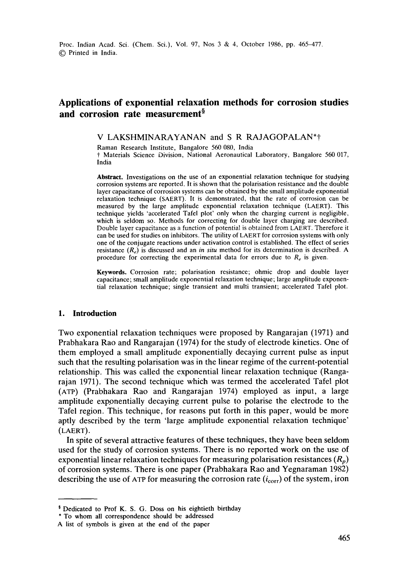# **Applications of exponential relaxation methods for corrosion studies**  and corrosion rate measurement<sup>§</sup>

#### V LAKSHMINARAYANAN and S R RAJAGOPALAN\*t

Raman Research Institute, Bangalore 560 080, India t Materials Science Division, National Aeronautical Laboratory, Bangalore 560 017, India

**Abstract.** Investigations on the use of an exponential relaxation technique for studying corrosion systems are reported. It is shown that the polarisation resistance and the double layer capacitance of corrosion systems can be obtained by the small amplitude exponential relaxation technique (SAERT). It is demonstrated, that the rate of corrosion can be measured by the large amplitude exponential relaxation technique (LAERT). This technique yields 'accelerated Tafel plot' only when the charging current is negligible, which is seldom so. Methods for correcting for double layer charging are described. Double layer capacitance as a function of potential is obtained from LAERT. Therefore it can be used for studies on inhibitors. The utility of LAERT for corrosion systems with only one of the conjugate reactions under activation control is established. The effect of series resistance *(Re)* is discussed and an *in situ* method for its determination is described. A procedure for correcting the experimental data for errors due to  $R_e$  is given.

**Keywords.** Corrosion rate; polarisation resistance; ohmic drop and double layer capacitance; small amplitude exponential relaxation technique; large amplitude exponential relaxation technique; single transient and multi transient; accelerated Tafel plot.

#### **I. Introduction**

Two exponential relaxation techniques were proposed by Rangarajan (1971) and Prabhakara Rao and Rangarajan (1974) for the study of electrode kinetics. One of them employed a small amplitude exponentially decaying current pulse as input such that the resulting polarisation was in the linear regime of the current-potential relationship. This was called the exponential linear relaxation technique (Rangarajah 1971). The second technique which was termed the accelerated Tafel plot (ATP) (Prabhakara Rao and Rangarajan 1974) employed as input, a large amplitude exponentially decaying current pulse to polarise the electrode to the Tafel region. This technique, for reasons put forth in this paper, would be more aptly described by the term 'large amplitude exponential relaxation technique' (LAERT).

In spite of several attractive features of these techniques, they have been seldom used for the study of corrosion systems. There is no reported work on the use of exponential linear relaxation techniques for measuring polarisation resistances  $(R_p)$ of corrosion systems. There is one paper (Prabhakara Rao and Yegnaraman 1982) describing the use of ATP for measuring the corrosion rate  $(i_{\text{corr}})$  of the system, iron

<sup>&</sup>lt;sup>§</sup> Dedicated to Prof K. S. G. Doss on his eightieth birthday

<sup>\*</sup> To whom all correspondence should be addressed

A list of symbols is given at the end of the paper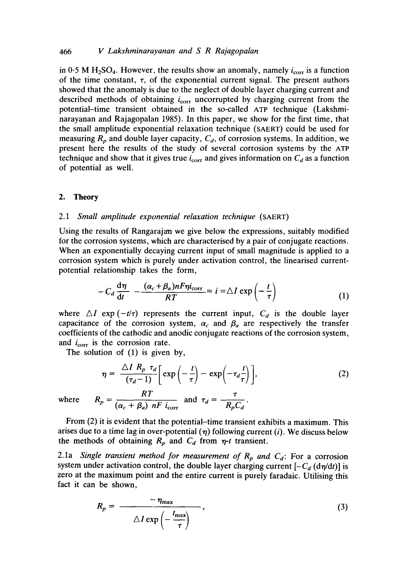## 466 *V Lakshminarayanan and S R Rajagopalan*

in 0.5 M H<sub>2</sub>SO<sub>4</sub>. However, the results show an anomaly, namely  $i_{corr}$  is a function of the time constant,  $\tau$ , of the exponential current signal. The present authors showed that the anomaly is due to the neglect of double layer charging current and described methods of obtaining  $i_{\text{corr}}$  uncorrupted by charging current from the potential-time transient obtained in the so-called ATP technique (Lakshminarayanan and Rajagopalan 1985). In this paper, we show for the first time, that the small amplitude exponential relaxation technique (SAERT) could be used for measuring  $R_p$  and double layer capacity,  $C_d$ , of corrosion systems. In addition, we present here the results of the study of several corrosion systems by the ATP technique and show that it gives true  $i_{\text{corr}}$  and gives information on  $C_d$  as a function of potential as well.

#### **2. Theory**

## 2.1 *Small amplitude exponential relaxation technique* (SAERT)

Using the results of Rangarajan we give below the expressions, suitably modified for the corrosion systems, which are characterised by a pair of conjugate reactions. When an exponentially decaying current input of small magnitude is applied to a corrosion system which is purely under activation control, the linearised currentpotential relationship takes the form,

$$
-C_d \frac{d\eta}{dt} - \frac{(\alpha_c + \beta_a)nF\eta i_{corr}}{RT} = i = \Delta I \exp\left(-\frac{t}{\tau}\right)
$$
(1)

where  $\Delta I$  exp  $(-t/\tau)$  represents the current input,  $C_d$  is the double layer capacitance of the corrosion system,  $\alpha_c$  and  $\beta_a$  are respectively the transfer coefficients of the cathodic and anodic conjugate reactions of the corrosion system, and  $i_{\text{corr}}$  is the corrosion rate.

The solution of (1) is given by,

$$
\eta = \frac{\Delta I \ R_p \ \tau_d}{(\tau_d - 1)} \left[ \exp\left(-\frac{t}{\tau}\right) - \exp\left(-\tau_d \frac{t}{\tau}\right) \right],\tag{2}
$$

where  $R_p = \frac{1}{(\alpha_0 + \beta_0)} \frac{1}{nF} \lim_{\delta \to 0} \frac{1}{\alpha_0 - \beta_0} = \frac{1}{R_pC_d}$ .

From (2) it is evident that the potential-time transient exhibits a maximum. This arises due to a time lag in over-potential  $(\eta)$  following current (i). We discuss below the methods of obtaining  $R_p$  and  $C_d$  from  $\eta$ -t transient.

2.1a *Single transient method for measurement of*  $R_p$  and  $C_d$ : For a corrosion system under activation control, the double layer charging current  $[-C_d (d\eta/dt)]$  is zero at the maximum point and the entire current is purely faradaic. Utilising this fact it can be shown,

$$
R_p = \frac{-\eta_{\text{max}}}{\Delta l \exp\left(-\frac{t_{\text{max}}}{\tau}\right)},\tag{3}
$$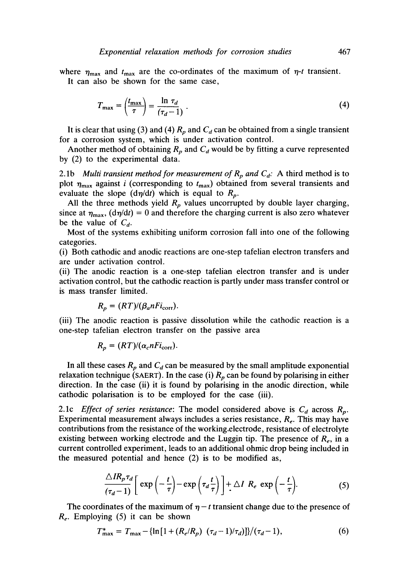where  $\eta_{\text{max}}$  and  $t_{\text{max}}$  are the co-ordinates of the maximum of  $\eta$ -t transient. It can also be shown for the same case,

$$
T_{\max} = \left(\frac{t_{\max}}{\tau}\right) = \frac{\ln \tau_d}{(\tau_d - 1)}\ . \tag{4}
$$

It is clear that using (3) and (4)  $R_p$  and  $C_d$  can be obtained from a single transient for a corrosion system, which is under activation control.

Another method of obtaining  $R_p$  and  $C_d$  would be by fitting a curve represented by (2) to the experimental data.

2.1b *Multi transient method for measurement of*  $R_p$  *and*  $C_d$ *:* A third method is to plot  $\eta_{\text{max}}$  against i (corresponding to  $t_{\text{max}}$ ) obtained from several transients and evaluate the slope  $(d\eta/dt)$  which is equal to  $R_p$ .

All the three methods yield  $R_p$  values uncorrupted by double layer charging, since at  $\eta_{\text{max}}$ ,  $(d\eta/dt) = 0$  and therefore the charging current is also zero whatever be the value of *Ca.* 

Most of the systems exhibiting uniform corrosion fall into one of the following categories.

(i) Both cathodic and anodic reactions are one-step tafelian electron transfers and are under activation control.

(ii) The anodic reaction is a one-step tafelian electron transfer and is under activation control, but the cathodic reaction is partly under mass transfer control or is mass transfer limited.

$$
R_p = (RT)/(\beta_a n F i_{\text{corr}}).
$$

(iii) The anodic reaction is passive dissolution while the cathodic reaction is a one-step tafelian electron transfer on the passive area

$$
R_p = (RT)/(\alpha_c n F i_{\rm corr}).
$$

In all these cases  $R_p$  and  $C_d$  can be measured by the small amplitude exponential relaxation technique (SAERT). In the case (i)  $R_p$  can be found by polarising in either direction. In the case (ii) it is found by polarising in the anodic direction, while cathodic polarisation is to be employed for the case (iii).

2.1c *Effect of series resistance:* The model considered above is  $C_d$  across  $R_p$ . Experimental measurement always includes a series resistance,  $R_e$ . This may have contributions from the resistance of the working.electrode, resistance of electrolyte existing between working electrode and the Luggin tip. The presence of  $R_e$ , in a current controlled experiment, leads to an additional ohmic drop being included in the measured potential and hence (2) is to be modified as,

$$
\frac{\triangle IR_p \tau_d}{(\tau_d - 1)} \bigg[ \exp\left(-\frac{t}{\tau}\right) - \exp\left(\tau_d \frac{t}{\tau}\right) \bigg] + \triangle I \ R_e \ \exp\left(-\frac{t}{\tau}\right). \tag{5}
$$

The coordinates of the maximum of  $\eta - t$  transient change due to the presence of *R<sub>e</sub>*. Employing (5) it can be shown

$$
T_{\text{max}}^* = T_{\text{max}} - \{\ln\left[1 + (R_e/R_p) \ (\tau_d - 1)/\tau_d\}\right] / (\tau_d - 1),\tag{6}
$$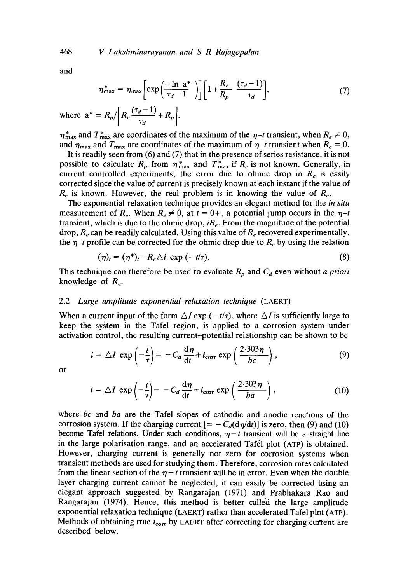and

$$
\eta_{\max}^* = \eta_{\max} \bigg[ \exp\bigg( \frac{-\ln a^*}{\tau_d - 1} \bigg) \bigg] \bigg[ 1 + \frac{R_e}{R_p} \frac{(\tau_d - 1)}{\tau_d} \bigg], \tag{7}
$$

where  $a^* = R_p / \left[ R_e \frac{(\tau_d - 1)}{\tau_d} + R_p \right]$ .

 $\eta_{\text{max}}^*$  and  $T_{\text{max}}^*$  are coordinates of the maximum of the  $\eta$ -t transient, when  $R_e \neq 0$ , and  $\eta_{\text{max}}$  and  $T_{\text{max}}$  are coordinates of the maximum of  $\eta$ -t transient when  $R_e = 0$ .

It is readily seen from (6) and (7) that in the presence of series resistance, it is not possible to calculate  $R_p$  from  $\eta_{\text{max}}^*$  and  $T_{\text{max}}^*$  if  $R_e$  is not known. Generally, in current controlled experiments, the error due to ohmic drop in  $R_e$  is easily corrected since the value of current is precisely known at each instant if the value of  $R_e$  is known. However, the real problem is in knowing the value of  $R_e$ .

The exponential relaxation technique provides an elegant method for the *in situ*  measurement of  $R_e$ . When  $R_e \neq 0$ , at  $t = 0+$ , a potential jump occurs in the  $\eta$ -t transient, which is due to the ohmic drop, *iRe.* From the magnitude of the potential drop,  $R_e$  can be readily calculated. Using this value of  $R_e$  recovered experimentally, the  $\eta$ -t profile can be corrected for the ohmic drop due to  $R_e$  by using the relation

$$
(\eta)_t = (\eta^*)_t - R_e \triangle i \, \exp\left(-t/\tau\right). \tag{8}
$$

This technique can therefore be used to evaluate  $R_p$  and  $C_d$  even without *a priori* knowledge of  $R_e$ .

# 2.2 *Large amplitude exponential relaxation technique* (LAERT)

When a current input of the form  $\Delta I$  exp ( $-t/\tau$ ), where  $\Delta I$  is sufficiently large to keep the system in the Tafel region, is applied to a corrosion system under activation control, the resulting current:potential relationship can be shown to be

$$
i = \Delta I \exp\left(-\frac{t}{\tau}\right) = -C_d \frac{d\eta}{dt} + i_{\text{corr}} \exp\left(\frac{2 \cdot 303 \eta}{bc}\right),\tag{9}
$$

or

$$
i = \Delta I \exp\left(-\frac{t}{\tau}\right) = -C_d \frac{d\eta}{dt} + i_{\text{corr}} \exp\left(\frac{2.303\eta}{ba}\right),\tag{10}
$$

where *bc* and *ba* are the Tafel slopes of cathodic and anodic reactions of the corrosion system. If the charging current  $[=-C_d(\frac{d\eta}{dt})]$  is zero, then (9) and (10) become Tafel relations. Under such conditions,  $\eta - t$  transient will be a straight line in the large polarisation range, and an accelerated Tafel plot (ATP) is obtained. However, charging current is generally not zero for corrosion systems when transient methods are used for studying them. Therefore, corrosion rates calculated from the linear section of the  $\eta$  - t transient will be in error. Even when the double layer charging current cannot be neglected, it can easily be corrected using an elegant approach suggested by Rangarajan (1971) and Prabhakara Rao and Rangarajan (1974). Hence, this method is better called the large amplitude exponential relaxation technique (LAERT) rather than accelerated Tafel plot (ATP). Methods of obtaining true  $i_{\text{corr}}$  by LAERT after correcting for charging current are described below.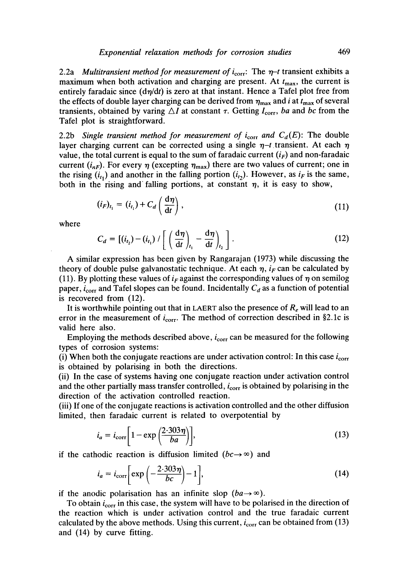2.2a *Multitransient method for measurement of*  $i_{corr}$ : The  $\eta$ -t transient exhibits a maximum when both activation and charging are present. At  $t_{\text{max}}$ , the current is entirely faradaic since  $(d\eta/dt)$  is zero at that instant. Hence a Tafel plot free from the effects of double layer charging can be derived from  $\eta_{\text{max}}$  and i at  $t_{\text{max}}$  of several transients, obtained by varing  $\Delta I$  at constant  $\tau$ . Getting  $I_{\text{corr}}$ , *ba* and *bc* from the Tafel plot is straightforward.

2.2b *Single transient method for measurement of*  $i_{\text{corr}}$  *and*  $C_d(E)$ : The double layer charging current can be corrected using a single  $\eta$ -t transient. At each  $\eta$ value, the total current is equal to the sum of faradaic current  $(i_F)$  and non-faradaic current  $(i_{nF})$ . For every  $\eta$  (excepting  $\eta_{\text{max}}$ ) there are two values of current; one in the rising  $(i_{t_1})$  and another in the falling portion  $(i_{t_2})$ . However, as  $i_F$  is the same, both in the rising and falling portions, at constant  $\eta$ , it is easy to show,

$$
(i_F)_{t_1} = (i_{t_1}) + C_d \left(\frac{d\eta}{dt}\right),\tag{11}
$$

where

$$
C_d = \left[ (i_{t_2}) - (i_{t_1}) / \left[ \left( \frac{d\eta}{dt} \right)_{t_1} - \frac{d\eta}{dt} \right)_{t_2} \right].
$$
 (12)

A similar expression has been given by Rangarajan (1973) while discussing the theory of double pulse galvanostatic technique. At each  $\eta$ , i<sub>F</sub> can be calculated by (11). By plotting these values of  $i_F$  against the corresponding values of  $\eta$  on semilog paper,  $i_{\text{corr}}$  and Tafel slopes can be found. Incidentally  $C_d$  as a function of potential is recovered from (12).

It is worthwhile pointing out that in LAERT also the presence of  $R_e$  will lead to an error in the measurement of  $i_{corr}$ . The method of correction described in §2.1c is valid here also.

Employing the methods described above,  $i_{\text{corr}}$  can be measured for the following types of corrosion systems:

(i) When both the conjugate reactions are under activation control: In this case  $i_{\rm corr}$ is obtained by polarising in both the directions.

(ii) In the case of systems having one conjugate reaction under activation control and the other partially mass transfer controlled,  $i_{\text{corr}}$  is obtained by polarising in the direction of the activation controlled reaction.

(iii) If one of the conjugate reactions is activation controlled and the other diffusion limited, then faradaic current is related to overpotential by

$$
i_a = i_{\text{corr}} \bigg[ 1 - \exp\left(\frac{2 \cdot 303 \eta}{ba}\right) \bigg],\tag{13}
$$

if the cathodic reaction is diffusion limited  $(bc \rightarrow \infty)$  and

$$
i_a = i_{\text{corr}} \bigg[ \exp\left(-\frac{2.303\eta}{bc}\right) - 1 \bigg],\tag{14}
$$

if the anodic polarisation has an infinite slop  $(ba \rightarrow \infty)$ .

To obtain  $i_{\text{corr}}$  in this case, the system will have to be polarised in the direction of the reaction which is under activation control and the true faradaic current calculated by the above methods. Using this current,  $i_{corr}$  can be obtained from (13) and (14) by curve fitting.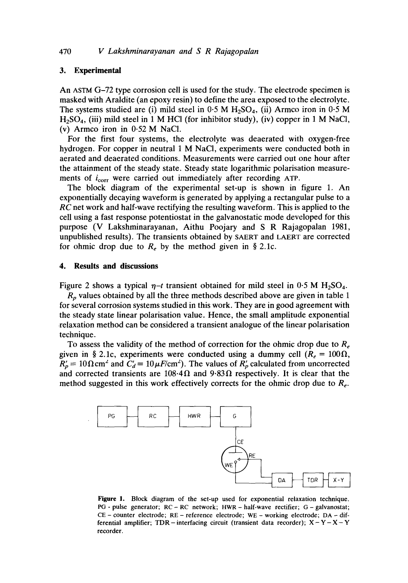#### **3. Experimental**

An ASTM G-72 type corrosion cell is used for the study. The electrode specimen is masked with Araldite (an epoxy resin) to define the area exposed to the electrolyte. The systems studied are (i) mild steel in  $0.5$  M  $H_2SO_4$ , (ii) Armco iron in  $0.5$  M  $H<sub>2</sub>SO<sub>4</sub>$ , (iii) mild steel in 1 M HCl (for inhibitor study), (iv) copper in 1 M NaCl, (v) Armco iron in 0-52 M NaCI.

For the first four systems, the electrolyte was deaerated with oxygen-free hydrogen. For copper in neutral 1 M NaCI, experiments were conducted both in aerated and deaerated conditions. Measurements were carried out one hour after the attainment of the steady state. Steady state logarithmic polarisation measurements of  $i_{corr}$  were carried out immediately after recording ATP.

The block diagram of the experimental set-up is shown in figure 1, An exponentially decaying waveform is generated by applying a rectangular pulse to a *RC* net work and half-wave rectifying the resulting waveform. This is applied to the cell using a fast response potentiostat in the galvanostatic mode developed for this purpose (V Lakshminarayanan, Aithu Poojary and S R Rajagopalan 1981, unpublished results). The transients obtained by SAERT and LAERT are corrected for ohmic drop due to  $R_e$  by the method given in § 2.1c.

#### **4. Results and discussions**

Figure 2 shows a typical  $\eta$ -t transient obtained for mild steel in 0.5 M H<sub>2</sub>SO<sub>4</sub>.

 $R_p$  values obtained by all the three methods described above are given in table 1 for several corrosion systems studied in this work. They are in good agreement with the steady state linear polarisation value. Hence, the small amplitude exponential ,relaxation method can be considered a transient analogue of the linear polarisation technique.

To assess the validity of the method of correction for the ohmic drop due to *Re*  given in § 2.1c, experiments were conducted using a dummy cell  $(R_e = 100\Omega,$  $R'_p = 10 \Omega \text{cm}^2$  and  $C'_d = 10 \mu \text{F/cm}^2$ . The values of  $R'_p$  calculated from uncorrected and corrected transients are  $108.4\Omega$  and  $9.83\Omega$  respectively. It is clear that the method suggested in this work effectively corrects for the ohmic drop due to  $R_e$ .



Figure 1. Block diagram of the set-up used for exponential relaxation technique. PG- pulse generator; RC-RC network; HWR- half-wave rectifier; G- galvanostat; CE – counter electrode;  $RE$  – reference electrode;  $WE$  – working electrode;  $DA$  – differential amplifier; TDR – interfacing circuit (transient data recorder);  $X - Y - X - Y$ recorder.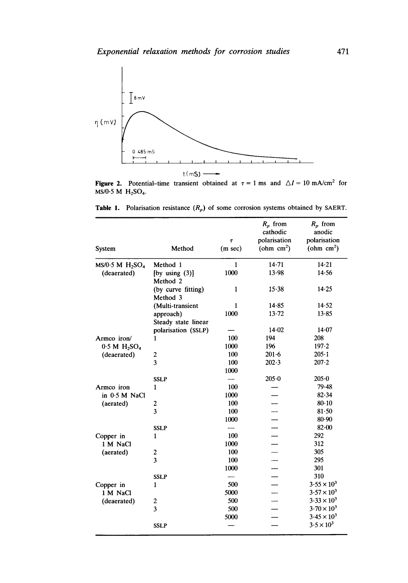

Figure 2. Potential-time transient obtained at  $\tau = 1$  ms and  $\Delta I = 10$  mA/cm<sup>2</sup> for  $MS/0.5$  M  $H<sub>2</sub>SO<sub>4</sub>$ .

**Table 1.** Polarisation resistance  $(R_p)$  of some corrosion systems obtained by SAERT.

|                    |                                |                   | $R_p$ from   | $R_p$ from           |
|--------------------|--------------------------------|-------------------|--------------|----------------------|
|                    |                                |                   | cathodic     | anodic               |
|                    | Method                         | T                 | polarisation | polarisation         |
| System             |                                | $(m \text{ sec})$ | (ohm $cm2$ ) | (ohm $cm2$ )         |
| $MS/0.5 M H_2SO_4$ | Method 1                       | $\mathbf{1}$      | 14.71        | 14.21                |
| (deaerated)        | (by using $(3)$ )<br>Method 2  | 1000              | 13.98        | 14.56                |
|                    | (by curve fitting)<br>Method 3 | $\mathbf{1}$      | 15.38        | $14 - 25$            |
|                    | (Multi-transient               | 1                 | 14.85        | 14.52                |
|                    | approach)                      | 1000              | $13 - 72$    | 13.85                |
|                    | Steady state linear            |                   |              |                      |
|                    | polarisation (SSLP)            |                   | 14.02        | $14 - 07$            |
| Armco iron/        | 1                              | 100               | 194          | 208                  |
| $0.5 M H_2SO_4$    |                                | 1000              | 196          | $197 - 2$            |
| (deaerated)        | $\boldsymbol{2}$               | 100               | $201 - 6$    | $205 - 1$            |
|                    | 3                              | 100               | $202 - 3$    | $207 - 2$            |
|                    |                                | 1000              |              |                      |
|                    | <b>SSLP</b>                    |                   | $205 - 0$    | $205 - 0$            |
| Armco iron         | 1                              | 100               |              | 79.48                |
| in 0.5 M NaCl      |                                | 1000              |              | 82.34                |
| (aerated)          | 2                              | 100               |              | $80 - 10$            |
|                    | 3                              | 100               |              | $81 - 50$            |
|                    |                                | 1000              |              | 80.90                |
|                    | <b>SSLP</b>                    |                   |              | $82 - 00$            |
| Copper in          | 1                              | 100               |              | 292                  |
| 1 M NaCl           |                                | 1000              |              | 312                  |
| (aerated)          | $\boldsymbol{z}$               | 100               |              | 305                  |
|                    | $\overline{\mathbf{3}}$        | 100               |              | 295                  |
|                    |                                | 1000              |              | 301                  |
|                    | <b>SSLP</b>                    |                   |              | 310                  |
| Copper in          | $\mathbf{1}$                   | 500               |              | $3.55 \times 10^{3}$ |
| 1 M NaCl           |                                | 5000              |              | $3.57 \times 10^{3}$ |
| (deaerated)        | $\boldsymbol{2}$               | 500               |              | $3.33 \times 10^{3}$ |
|                    | 3                              | 500               |              | $3.70 \times 10^{3}$ |
|                    |                                | 5000              |              | $3.45 \times 10^{3}$ |
|                    | <b>SSLP</b>                    |                   |              | $3.5 \times 10^{3}$  |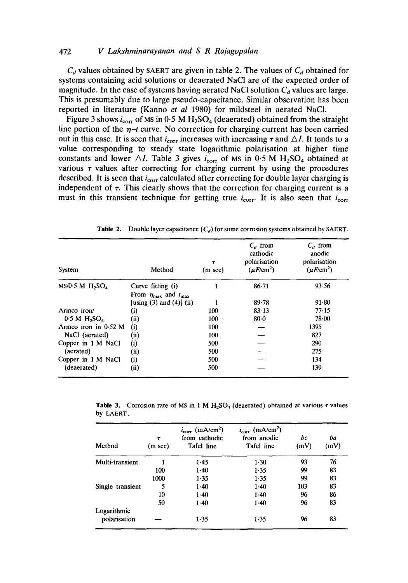# 472 *V Lakshminarayanan and S R Ra]agopalan*

 $C_d$  values obtained by SAERT are given in table 2. The values of  $C_d$  obtained for systems containing acid solutions or deaerated NaCI are of the expected order of magnitude. In the case of systems having aerated NaCl solution  $C_d$  values are large. This is presumably due to large pseudo-capacitance. Similar observation has been reported in literature (Kanno *et al* 1980) for mildsteel in aerated NaCI.

Figure 3 shows  $i_{\text{corr}}$  of MS in 0.5 M H<sub>2</sub>SO<sub>4</sub> (deaerated) obtained from the straight line portion of the  $\eta$ -t curve. No correction for charging current has been carried out in this case. It is seen that  $i_{\text{corr}}$  increases with increasing  $\tau$  and  $\triangle I$ . It tends to a value corresponding to steady state logarithmic polarisation at higher time constants and lower  $\Delta I$ . Table 3 gives  $i_{corr}$  of Ms in 0-5 M H<sub>2</sub>SO<sub>4</sub> obtained at various  $\tau$  values after correcting for charging current by using the procedures described. It is seen that  $i_{\text{corr}}$  calculated after correcting for double layer charging is independent of  $\tau$ . This clearly shows that the correction for charging current is a must in this transient technique for getting true  $i_{\text{corr}}$ . It is also seen that  $i_{\text{corr}}$ 

| System                                  | Method                                                                           | T<br>$(m \sec)$ | $C_d$ from<br>cathodic<br>polarisation<br>$(\mu F/cm^2)$ | $C_d$ from<br>anodic<br>polarisation<br>$(\mu F/cm^2)$ |  |
|-----------------------------------------|----------------------------------------------------------------------------------|-----------------|----------------------------------------------------------|--------------------------------------------------------|--|
| MS/0.5 M H <sub>2</sub> SO <sub>4</sub> | Curve fitting (i)                                                                |                 | $86 - 71$                                                | 93.56                                                  |  |
|                                         | From $\eta_{\text{max}}$ and $t_{\text{max}}$<br>[using $(3)$ and $(4)$ ] $(ii)$ |                 | $89 - 78$                                                | 91.80                                                  |  |
| Armco iron/                             | $\left( i\right)$                                                                | 100             | $83 - 13$                                                | 77.15                                                  |  |
| 0.5 M H <sub>2</sub> SO <sub>4</sub>    | (ii)                                                                             | $100 -$         | $80 - 0$                                                 | $78 - 00$                                              |  |
| Armco iron in $0.52$ M                  | (i)                                                                              | 100             |                                                          | 1395                                                   |  |
| NaCl (aerated)                          | (ii)                                                                             | 100             |                                                          | 827                                                    |  |
| Copper in 1 M NaCl                      | (i)                                                                              | 500             |                                                          | 290                                                    |  |
| (aerated)                               | (ii)                                                                             | 500             |                                                          | 275                                                    |  |
| Copper in 1 M NaCl                      | (i)                                                                              | 500             |                                                          | 134                                                    |  |
| (deaerated)                             | (ii)                                                                             | 500             |                                                          | 139                                                    |  |

Table 2. Double layer capacitance *(Ca)* for some corrosion systems obtained by SAERT.

**Table 3.** Corrosion rate of MS in 1 M  $H_2SO_4$  (deaerated) obtained at various  $\tau$  values by LAERT.

| Method           | $\tau$<br>$(m \sec)$ | $i_{\text{corr}}$ (mA/cm <sup>2</sup> )<br>from cathodic<br><b>Tafel line</b> | $i_{\text{corr}}$ (mA/cm <sup>2</sup> )<br>from anodic<br>Tafel line | bc<br>(mV) | ba<br>(mV) |
|------------------|----------------------|-------------------------------------------------------------------------------|----------------------------------------------------------------------|------------|------------|
| Multi-transient  |                      | $1-45$                                                                        | $1-30$                                                               | 93         | 76         |
|                  | 100                  | $1 - 40$                                                                      | 1.35                                                                 | 99         | 83         |
|                  | 1000                 | 1.35                                                                          | 1.35                                                                 | 99         | 83         |
| Single transient | 5                    | $1-40$                                                                        | $1-40$                                                               | 103        | 83         |
|                  | 10                   | $1-40$                                                                        | $1-40$                                                               | 96         | 86         |
|                  | 50                   | $1-40$                                                                        | $1-40$                                                               | 96         | 83         |
| Logarithmic      |                      |                                                                               |                                                                      |            |            |
| polarisation     |                      | $1-35$                                                                        | 1.35                                                                 | 96         | 83         |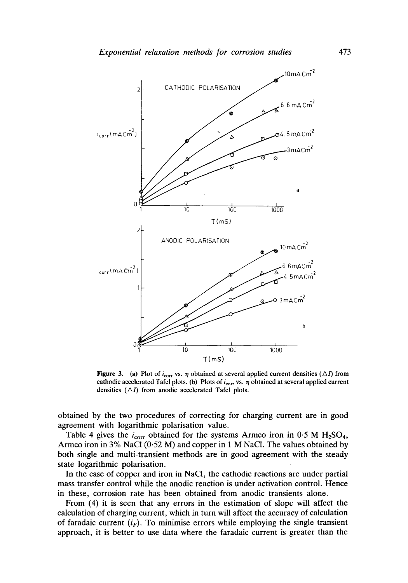

**Figure 3.** (a) Plot of  $i_{\text{corr}}$  vs.  $\eta$  obtained at several applied current densities ( $\Delta I$ ) from cathodic accelerated Tafel plots. (b) Plots of  $i_{\text{corr}}$  vs.  $\eta$  obtained at several applied current densities  $(\triangle I)$  from anodic accelerated Tafel plots.

**obtained by the two procedures of correcting for charging current are in good agreement with logarithmic polarisation value.** 

Table 4 gives the  $i_{\text{corr}}$  obtained for the systems Armco iron in  $0.5 M H_2SO_4$ , **Armco iron in 3% NaC1 (0-52 M) and copper in 1 M NaC1. The values obtained by both single and multi-transient methods are in good agreement with the steady state logarithmic polarisation.** 

**In the case of copper and iron in NaC1, the cathodic reactions are under partial mass transfer control while the anodic reaction is under activation control. Hence in these, corrosion rate has been obtained from anodic transients alone.** 

**From (4) it is seen that any errors in the estimation of slope will affect the calculation of charging current, which in turn will affect the accuracy of calculation**  of faradaic current  $(i_F)$ . To minimise errors while employing the single transient **approach, it is better to use data where the faradaic current is greater than the**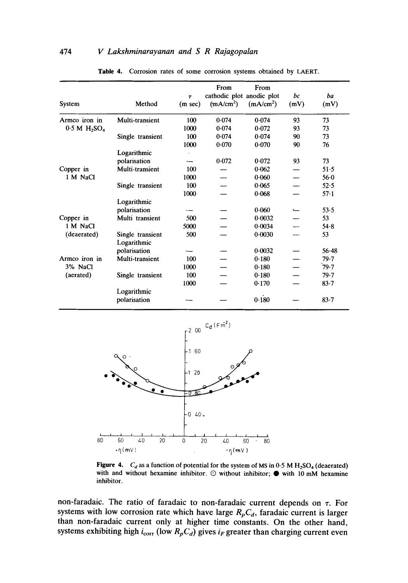# 474 *V Lakshminarayanan and S R Rajagopalan*

| System                  | Method                          | $\tau$<br>$(m \sec)$ | From<br>cathodic plot anodic plot<br>(mA/cm <sup>2</sup> ) | From<br>(mA/cm <sup>2</sup> ) | bc<br>(mV) | ba<br>(mV) |
|-------------------------|---------------------------------|----------------------|------------------------------------------------------------|-------------------------------|------------|------------|
| Armco iron in           | Multi-transient                 | 100                  | 0.074                                                      | 0.074                         | 93         | 73         |
| $0.5 M H_2SO_4$         |                                 | 1000                 | 0.074                                                      | 0.072                         | 93         | 73         |
|                         | Single transient                | 100                  | 0.074                                                      | 0.074                         | 90         | 73         |
|                         |                                 | 1000                 | 0.070                                                      | 0.070                         | 90         | 76         |
|                         | Logarithmic                     |                      |                                                            |                               |            |            |
|                         | polarisation                    |                      | 0.072                                                      | 0.072                         | 93         | 73         |
| Copper in               | Multi-transient                 | 100                  |                                                            | $0 - 062$                     |            | $51-5$     |
| 1 M NaCl                |                                 | 1000                 |                                                            | 0.060                         |            | $56-0$     |
|                         | Single transient                | 100                  |                                                            | 0.065                         |            | 52.5       |
|                         |                                 | 1000                 |                                                            | 0.068                         |            | $57-1$     |
|                         | Logarithmic                     |                      |                                                            |                               |            |            |
|                         | polarisation                    |                      |                                                            | 0.060                         |            | 53.5       |
| Copper in               | Multi transient                 | 500                  |                                                            | 0.0032                        |            | 53         |
| 1 M NaCl<br>(deaerated) |                                 | 5000                 |                                                            | 0.0034                        |            | $54 - 8$   |
|                         | Single transient<br>Logarithmic | 500                  |                                                            | 0.0030                        |            | 53         |
|                         | polarisation                    |                      |                                                            | 0.0032                        |            | $56 - 48$  |
| Armco iron in           | Multi-transient                 | 100                  |                                                            | 0.180                         |            | 79.7       |
| 3% NaCl<br>(aerated)    |                                 | 1000                 |                                                            | 0.180                         |            | 79.7       |
|                         | Single transient                | 100                  |                                                            | 0.180                         |            | 79.7       |
|                         |                                 | 1000                 |                                                            | 0.170                         |            | $83 - 7$   |
|                         | Logarithmic<br>polarisation     |                      |                                                            | 0.180                         |            | $83 - 7$   |

Table 4. Corrosion rates of some corrosion systems obtained by LAERT.



Figure 4.  $C_d$  as a function of potential for the system of MS in  $0.5$  M  $H_2SO_4$  (deaerated) with and without hexamine inhibitor.  $\odot$  without inhibitor;  $\bullet$  with 10 mM hexamine inhibitor.

**non-faradaic. The ratio of faradaic to non-faradaic current depends on z. For**  systems with low corrosion rate which have large  $R_pC_d$ , faradaic current is larger **than non-faradaic current only at higher time constants. On the other hand,**  systems exhibiting high  $i_{\text{corr}}$  (low  $R_pC_d$ ) gives  $i_F$  greater than charging current even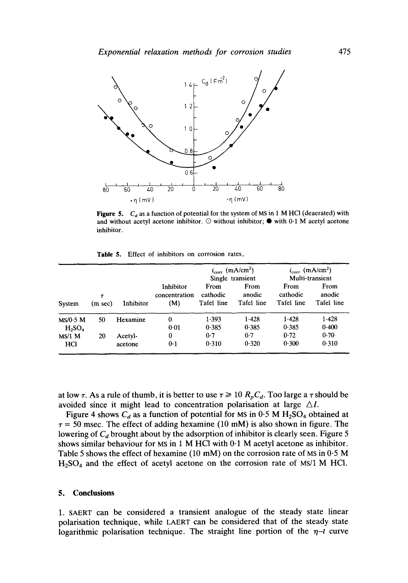

**Figure 5.** *C<sub>d</sub>* as a function of potential for the system of MS in 1 M HCl (deaerated) with and without acetyl acetone inhibitor.  $\odot$  without inhibitor;  $\bullet$  with 0.1 M acetyl acetone inhibitor.

**Table** 5. Effect of inhibitors on corrosion rates.

|                         |              |                    |                                   | $i_{corr}$ (mA/cm <sup>2</sup> )<br>Single transient |                              | $i_{\text{corr}}$ (mA/cm <sup>2</sup> )<br>Multi-transient |                              |
|-------------------------|--------------|--------------------|-----------------------------------|------------------------------------------------------|------------------------------|------------------------------------------------------------|------------------------------|
| System                  | T<br>(m sec) | Inhibitor          | Inhibitor<br>concentration<br>(M) | From<br>cathodic<br>Tafel line                       | From<br>anodic<br>Tafel line | From<br>cathodic<br>Tafel line                             | From<br>anodic<br>Tafel line |
| $MS/0.5$ M<br>$H_2SO_4$ | 50           | Hexamine           | 0<br>0.01                         | 1.393<br>0.385                                       | 1.428<br>0.385               | 1.428<br>0.385                                             | 1.428<br>0.400               |
| $MS/1$ M<br><b>HCI</b>  | 20           | Acetyl-<br>acetone | 0<br>0.1                          | 0.7<br>0.310                                         | 0.7<br>0.320                 | 0.72<br>0.300                                              | 0.70<br>0.310                |

at low  $\tau$ . As a rule of thumb, it is better to use  $\tau \ge 10$   $R_pC_d$ . Too large a  $\tau$  should be avoided since it might lead to concentration polarisation at large  $\triangle I$ .

Figure 4 shows  $C_d$  as a function of potential for MS in 0.5 M H<sub>2</sub>SO<sub>4</sub> obtained at  $\tau = 50$  msec. The effect of adding hexamine (10 mM) is also shown in figure. The lowering of  $C_d$  brought about by the adsorption of inhibitor is clearly seen. Figure 5 shows similar behaviour for MS in 1 M HCl with  $0.1$  M acetyl acetone as inhibitor. Table 5 shows the effect of hexamine (10 mM) on the corrosion rate of MS in 0-5 M  $H<sub>2</sub>SO<sub>4</sub>$  and the effect of acetyl acetone on the corrosion rate of MS/1 M HCl.

#### **5. Conclusions**

1. SAERT can be considered a transient analogue of the steady state linear polarisation technique, while LAERT can be considered that of the steady state logarithmic polarisation technique. The straight line portion of the  $\eta$ -t curve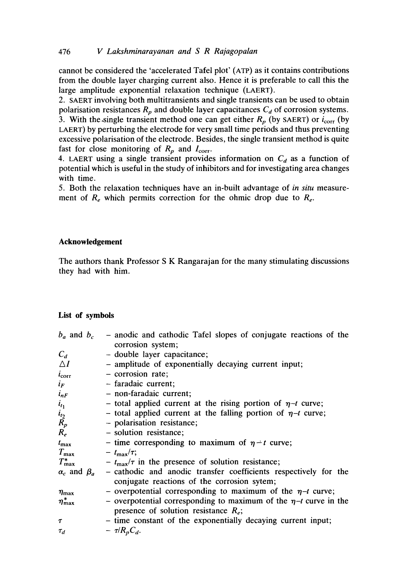cannot be considered the 'accelerated Tafel plot' (ATP) as it contains contributions from the double layer charging current also. Hence it is preferable to call this the large amplitude exponential relaxation technique (LAERT).

2. SAERT involving both multitransients and single transients can be used to obtain polarisation resistances  $R_p$  and double layer capacitances  $C_d$  of corrosion systems. 3. With the single transient method one can get either  $R_p$  (by SAERT) or  $i_{\text{corr}}$  (by LAERT) by perturbing the electrode for very small time periods and thus preventing excessive polarisation of the electrode. Besides, the single transient method is quite fast for close monitoring of  $R_p$  and  $I_{\text{corr}}$ .

4. LAERT using a single transient provides information on  $C_d$  as a function of potential which is useful in the study of inhibitors and for investigating area changes with time.

5. Both the relaxation techniques have an in-built advantage of *in situ* measurement of  $R_e$  which permits correction for the ohmic drop due to  $R_e$ .

## **Acknowledgement**

The authors thank Professor S K Rangarajan for the many stimulating discussions they had with him.

#### **List of symbols**

| - anodic and cathodic Tafel slopes of conjugate reactions of the                                                  |
|-------------------------------------------------------------------------------------------------------------------|
| corrosion system;                                                                                                 |
| - double layer capacitance;                                                                                       |
| - amplitude of exponentially decaying current input;                                                              |
| $-$ corrosion rate;                                                                                               |
| - faradaic current;                                                                                               |
| - non-faradaic current;                                                                                           |
| - total applied current at the rising portion of $\eta$ -t curve;                                                 |
| - total applied current at the falling portion of $\eta$ -t curve;                                                |
| - polarisation resistance;                                                                                        |
| - solution resistance;                                                                                            |
| - time corresponding to maximum of $\eta$ - t curve;                                                              |
| $ t_{\rm max}/\tau$ ;                                                                                             |
| $- t_{\text{max}}/\tau$ in the presence of solution resistance;                                                   |
| - cathodic and anodic transfer coefficients respectively for the<br>conjugate reactions of the corrosion sytem;   |
|                                                                                                                   |
| - overpotential corresponding to maximum of the $\eta$ -t curve;                                                  |
| - overpotential corresponding to maximum of the $\eta$ -t curve in the<br>presence of solution resistance $R_e$ ; |
| - time constant of the exponentially decaying current input;                                                      |
| $ \tau/R_pC_d$ .                                                                                                  |
|                                                                                                                   |